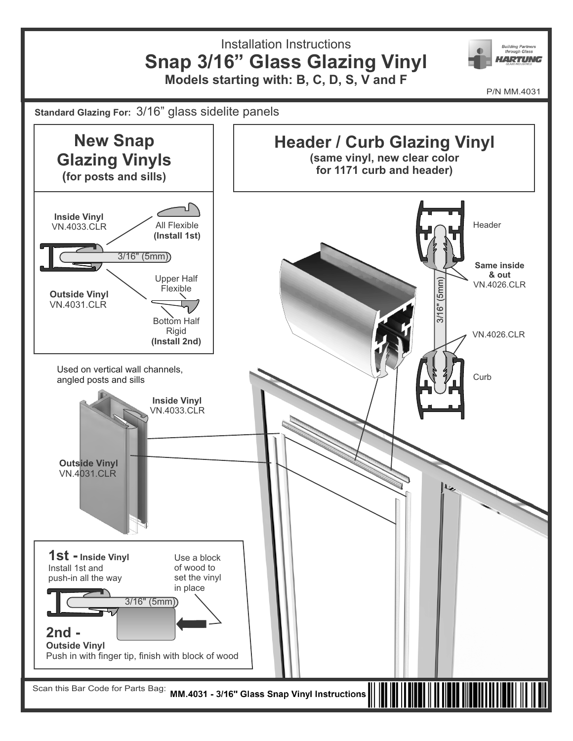